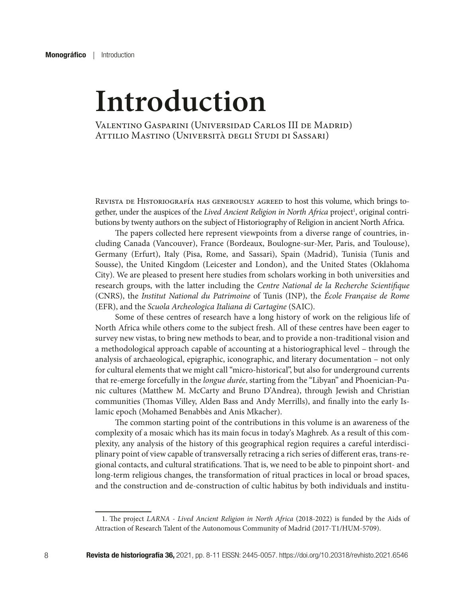## **Introduction**

Valentino Gasparini (Universidad Carlos III de Madrid) Attilio Mastino (Università degli Studi di Sassari)

Revista de Historiografía has generously agreed to host this volume, which brings together, under the auspices of the Lived Ancient Religion in North Africa project<sup>1</sup>, original contributions by twenty authors on the subject of Historiography of Religion in ancient North Africa.

The papers collected here represent viewpoints from a diverse range of countries, including Canada (Vancouver), France (Bordeaux, Boulogne-sur-Mer, Paris, and Toulouse), Germany (Erfurt), Italy (Pisa, Rome, and Sassari), Spain (Madrid), Tunisia (Tunis and Sousse), the United Kingdom (Leicester and London), and the United States (Oklahoma City). We are pleased to present here studies from scholars working in both universities and research groups, with the latter including the *Centre National de la Recherche Scientifique* (CNRS), the *Institut National du Patrimoine* of Tunis (INP), the *École Française de Rome* (EFR), and the *Scuola Archeologica Italiana di Cartagine* (SAIC).

Some of these centres of research have a long history of work on the religious life of North Africa while others come to the subject fresh. All of these centres have been eager to survey new vistas, to bring new methods to bear, and to provide a non-traditional vision and a methodological approach capable of accounting at a historiographical level – through the analysis of archaeological, epigraphic, iconographic, and literary documentation – not only for cultural elements that we might call "micro-historical", but also for underground currents that re-emerge forcefully in the *longue durée*, starting from the "Libyan" and Phoenician-Punic cultures (Matthew M. McCarty and Bruno D'Andrea), through Jewish and Christian communities (Thomas Villey, Alden Bass and Andy Merrills), and finally into the early Islamic epoch (Mohamed Benabbès and Anis Mkacher).

The common starting point of the contributions in this volume is an awareness of the complexity of a mosaic which has its main focus in today's Maghreb. As a result of this complexity, any analysis of the history of this geographical region requires a careful interdisciplinary point of view capable of transversally retracing a rich series of different eras, trans-regional contacts, and cultural stratifications. That is, we need to be able to pinpoint short- and long-term religious changes, the transformation of ritual practices in local or broad spaces, and the construction and de-construction of cultic habitus by both individuals and institu-

<sup>1.</sup> The project *LARNA - Lived Ancient Religion in North Africa* (2018-2022) is funded by the Aids of Attraction of Research Talent of the Autonomous Community of Madrid (2017-T1/HUM-5709).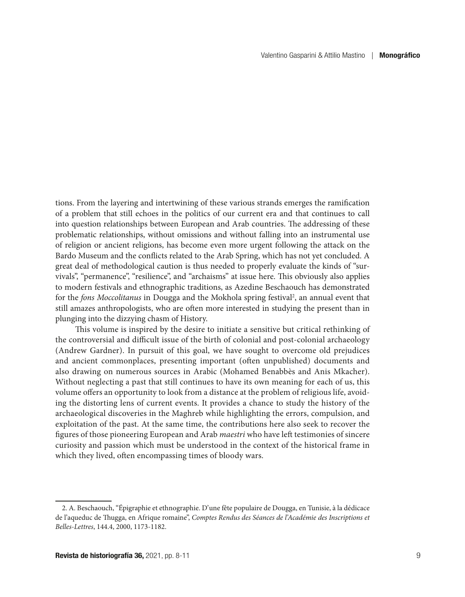tions. From the layering and intertwining of these various strands emerges the ramification of a problem that still echoes in the politics of our current era and that continues to call into question relationships between European and Arab countries. The addressing of these problematic relationships, without omissions and without falling into an instrumental use of religion or ancient religions, has become even more urgent following the attack on the Bardo Museum and the conflicts related to the Arab Spring, which has not yet concluded. A great deal of methodological caution is thus needed to properly evaluate the kinds of "survivals", "permanence", "resilience", and "archaisms" at issue here. This obviously also applies to modern festivals and ethnographic traditions, as Azedine Beschaouch has demonstrated for the *fons Moccolitanus* in Dougga and the Mokhola spring festival<sup>2</sup>, an annual event that still amazes anthropologists, who are often more interested in studying the present than in plunging into the dizzying chasm of History.

This volume is inspired by the desire to initiate a sensitive but critical rethinking of the controversial and difficult issue of the birth of colonial and post-colonial archaeology (Andrew Gardner). In pursuit of this goal, we have sought to overcome old prejudices and ancient commonplaces, presenting important (often unpublished) documents and also drawing on numerous sources in Arabic (Mohamed Benabbès and Anis Mkacher). Without neglecting a past that still continues to have its own meaning for each of us, this volume offers an opportunity to look from a distance at the problem of religious life, avoiding the distorting lens of current events. It provides a chance to study the history of the archaeological discoveries in the Maghreb while highlighting the errors, compulsion, and exploitation of the past. At the same time, the contributions here also seek to recover the figures of those pioneering European and Arab *maestri* who have left testimonies of sincere curiosity and passion which must be understood in the context of the historical frame in which they lived, often encompassing times of bloody wars.

<sup>2.</sup> A. Beschaouch, "Épigraphie et ethnographie. D'une fête populaire de Dougga, en Tunisie, à la dédicace de l'aqueduc de Thugga, en Afrique romaine", *Comptes Rendus des Séances de l'Académie des Inscriptions et Belles-Lettres*, 144.4, 2000, 1173-1182.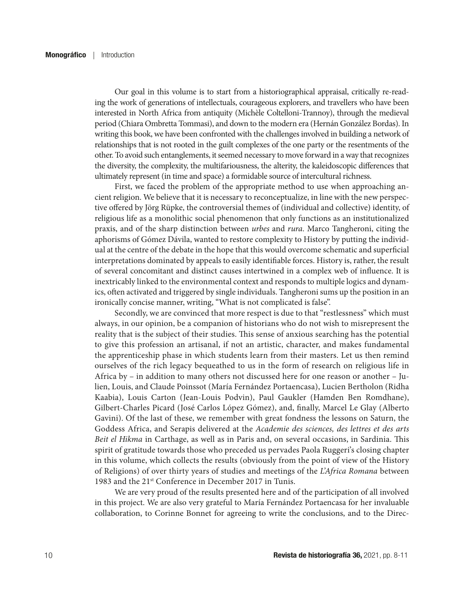Our goal in this volume is to start from a historiographical appraisal, critically re-reading the work of generations of intellectuals, courageous explorers, and travellers who have been interested in North Africa from antiquity (Michèle Coltelloni-Trannoy), through the medieval period (Chiara Ombretta Tommasi), and down to the modern era (Hernán González Bordas). In writing this book, we have been confronted with the challenges involved in building a network of relationships that is not rooted in the guilt complexes of the one party or the resentments of the other. To avoid such entanglements, it seemed necessary to move forward in a way that recognizes the diversity, the complexity, the multifariousness, the alterity, the kaleidoscopic differences that ultimately represent (in time and space) a formidable source of intercultural richness.

First, we faced the problem of the appropriate method to use when approaching ancient religion. We believe that it is necessary to reconceptualize, in line with the new perspective offered by Jörg Rüpke, the controversial themes of (individual and collective) identity, of religious life as a monolithic social phenomenon that only functions as an institutionalized praxis, and of the sharp distinction between *urbes* and *rura*. Marco Tangheroni, citing the aphorisms of Gómez Dávila, wanted to restore complexity to History by putting the individual at the centre of the debate in the hope that this would overcome schematic and superficial interpretations dominated by appeals to easily identifiable forces. History is, rather, the result of several concomitant and distinct causes intertwined in a complex web of influence. It is inextricably linked to the environmental context and responds to multiple logics and dynamics, often activated and triggered by single individuals. Tangheroni sums up the position in an ironically concise manner, writing, "What is not complicated is false".

Secondly, we are convinced that more respect is due to that "restlessness" which must always, in our opinion, be a companion of historians who do not wish to misrepresent the reality that is the subject of their studies. This sense of anxious searching has the potential to give this profession an artisanal, if not an artistic, character, and makes fundamental the apprenticeship phase in which students learn from their masters. Let us then remind ourselves of the rich legacy bequeathed to us in the form of research on religious life in Africa by – in addition to many others not discussed here for one reason or another – Julien, Louis, and Claude Poinssot (María Fernández Portaencasa), Lucien Bertholon (Ridha Kaabia), Louis Carton (Jean-Louis Podvin), Paul Gaukler (Hamden Ben Romdhane), Gilbert-Charles Picard (José Carlos López Gómez), and, finally, Marcel Le Glay (Alberto Gavini). Of the last of these, we remember with great fondness the lessons on Saturn, the Goddess Africa, and Serapis delivered at the *Academie des sciences, des lettres et des arts Beit el Hikma* in Carthage, as well as in Paris and, on several occasions, in Sardinia. This spirit of gratitude towards those who preceded us pervades Paola Ruggeri's closing chapter in this volume, which collects the results (obviously from the point of view of the History of Religions) of over thirty years of studies and meetings of the *L'Africa Romana* between 1983 and the 21st Conference in December 2017 in Tunis.

We are very proud of the results presented here and of the participation of all involved in this project. We are also very grateful to María Fernández Portaencasa for her invaluable collaboration, to Corinne Bonnet for agreeing to write the conclusions, and to the Direc